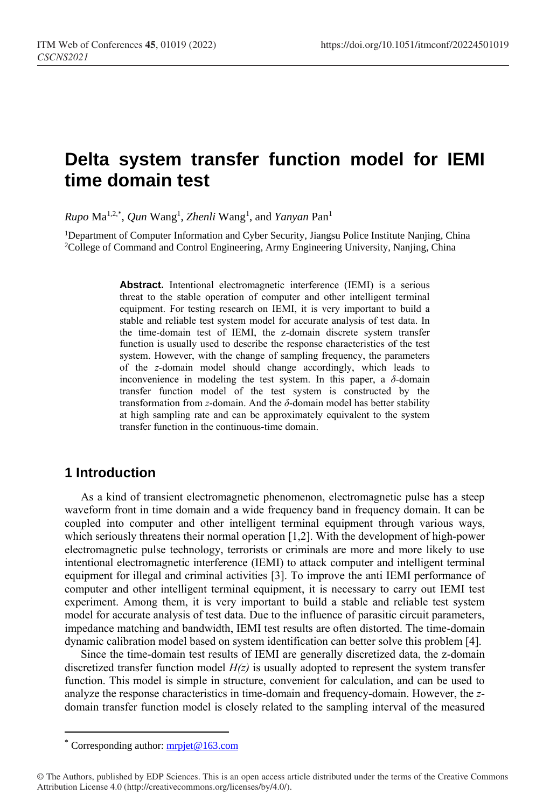# **Delta system transfer function model for IEMI time domain test**

*Rupo* Ma1,2,\* , *Qun* Wang<sup>1</sup> , *Zhenli* Wang<sup>1</sup> , and *Yanyan* Pan<sup>1</sup>

<sup>1</sup>Department of Computer Information and Cyber Security, Jiangsu Police Institute Nanjing, China <sup>2</sup>College of Command and Control Engineering, Army Engineering University, Nanjing, China

> Abstract. Intentional electromagnetic interference (IEMI) is a serious threat to the stable operation of computer and other intelligent terminal equipment. For testing research on IEMI, it is very important to build a stable and reliable test system model for accurate analysis of test data. In the time-domain test of IEMI, the z-domain discrete system transfer function is usually used to describe the response characteristics of the test system. However, with the change of sampling frequency, the parameters of the *z*-domain model should change accordingly, which leads to inconvenience in modeling the test system. In this paper, a  $\delta$ -domain transfer function model of the test system is constructed by the transformation from *z*-domain. And the *δ*-domain model has better stability at high sampling rate and can be approximately equivalent to the system transfer function in the continuous-time domain.

# **1 Introduction**

As a kind of transient electromagnetic phenomenon, electromagnetic pulse has a steep waveform front in time domain and a wide frequency band in frequency domain. It can be coupled into computer and other intelligent terminal equipment through various ways, which seriously threatens their normal operation [1,2]. With the development of high-power electromagnetic pulse technology, terrorists or criminals are more and more likely to use intentional electromagnetic interference (IEMI) to attack computer and intelligent terminal equipment for illegal and criminal activities [3]. To improve the anti IEMI performance of computer and other intelligent terminal equipment, it is necessary to carry out IEMI test experiment. Among them, it is very important to build a stable and reliable test system model for accurate analysis of test data. Due to the influence of parasitic circuit parameters, impedance matching and bandwidth, IEMI test results are often distorted. The time-domain dynamic calibration model based on system identification can better solve this problem [4].

Since the time-domain test results of IEMI are generally discretized data, the z-domain discretized transfer function model  $H(z)$  is usually adopted to represent the system transfer function. This model is simple in structure, convenient for calculation, and can be used to analyze the response characteristics in time-domain and frequency-domain. However, the *z*domain transfer function model is closely related to the sampling interval of the measured

 $\overline{a}$ 

Corresponding author: [mrpjet@163.com](mailto:mrpjet@163.com)

<sup>©</sup> The Authors, published by EDP Sciences. This is an open access article distributed under the terms of the Creative Commons Attribution License 4.0 (http://creativecommons.org/licenses/by/4.0/).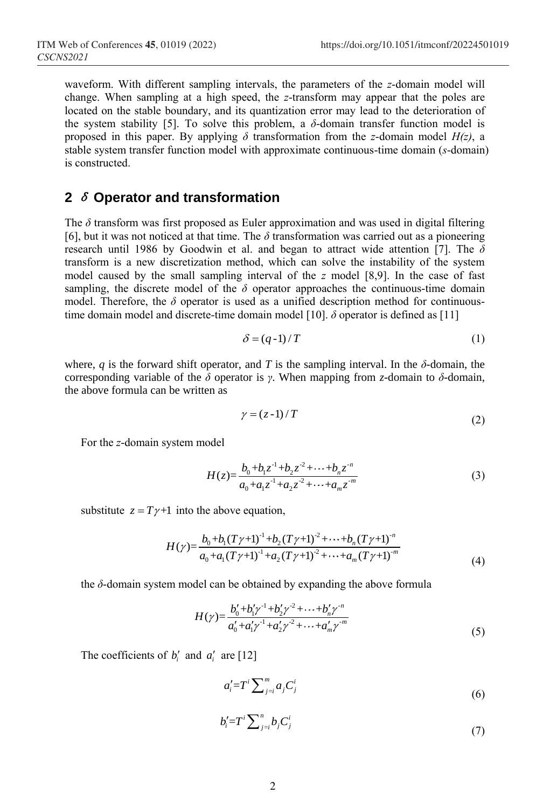waveform. With different sampling intervals, the parameters of the *z*-domain model will change. When sampling at a high speed, the *z*-transform may appear that the poles are located on the stable boundary, and its quantization error may lead to the deterioration of the system stability [5]. To solve this problem, a  $\delta$ -domain transfer function model is proposed in this paper. By applying  $\delta$  transformation from the *z*-domain model  $H(z)$ , a stable system transfer function model with approximate continuous-time domain (*s*-domain) is constructed.

## **2** <sup>δ</sup> **Operator and transformation**

The  $\delta$  transform was first proposed as Euler approximation and was used in digital filtering [6], but it was not noticed at that time. The *δ* transformation was carried out as a pioneering research until 1986 by Goodwin et al. and began to attract wide attention [7]. The *δ*  transform is a new discretization method, which can solve the instability of the system model caused by the small sampling interval of the *z* model [8,9]. In the case of fast sampling, the discrete model of the  $\delta$  operator approaches the continuous-time domain model. Therefore, the *δ* operator is used as a unified description method for continuoustime domain model and discrete-time domain model [10]. *δ* operator is defined as [11]

$$
\delta = (q-1)/T \tag{1}
$$

where, *q* is the forward shift operator, and *T* is the sampling interval. In the  $\delta$ -domain, the corresponding variable of the *δ* operator is *γ*. When mapping from *z*-domain to *δ*-domain, the above formula can be written as

$$
\gamma = (z-1)/T \tag{2}
$$

For the *z*-domain system model

$$
H(z) = \frac{b_0 + b_1 z^{-1} + b_2 z^{-2} + \dots + b_n z^{-n}}{a_0 + a_1 z^{-1} + a_2 z^{-2} + \dots + a_m z^{-m}}
$$
(3)

substitute  $z = T\gamma + 1$  into the above equation,

$$
H(\gamma) = \frac{b_0 + b_1 (T\gamma + 1)^{-1} + b_2 (T\gamma + 1)^{-2} + \dots + b_n (T\gamma + 1)^{-n}}{a_0 + a_1 (T\gamma + 1)^{-1} + a_2 (T\gamma + 1)^{-2} + \dots + a_m (T\gamma + 1)^{-m}}
$$
\n
$$
\tag{4}
$$

the *δ*-domain system model can be obtained by expanding the above formula

$$
H(\gamma) = \frac{b'_0 + b'_1 \gamma^{-1} + b'_2 \gamma^{-2} + \dots + b'_n \gamma^{-n}}{a'_0 + a'_1 \gamma^{-1} + a'_2 \gamma^{-2} + \dots + a'_m \gamma^{-m}}
$$
(5)

The coefficients of  $b_i'$  and  $a_i'$  are [12]

$$
a_i' = T^i \sum_{j=i}^m a_j C^i_j \tag{6}
$$

$$
b_i' = T^i \sum_{j=i}^n b_j C_j^i \tag{7}
$$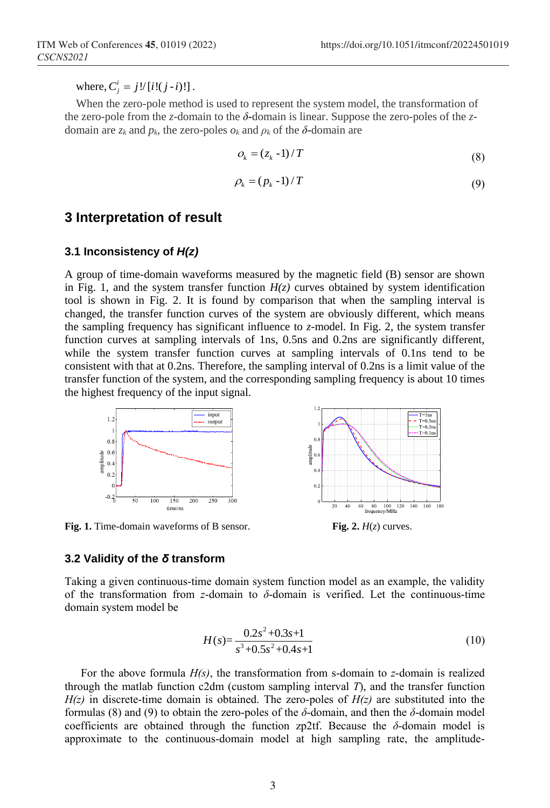where,  $C_j^i = j!/[i!(j-i)!]$ .

When the zero-pole method is used to represent the system model, the transformation of the zero-pole from the *z*-domain to the *δ*-domain is linear. Suppose the zero-poles of the *z*domain are  $z_k$  and  $p_k$ , the zero-poles  $o_k$  and  $p_k$  of the  $\delta$ -domain are

$$
O_k = (z_k - 1) / T \tag{8}
$$

$$
\rho_k = (p_k - 1) / T \tag{9}
$$

### **3 Interpretation of result**

#### **3.1 Inconsistency of** *H(z)*

A group of time-domain waveforms measured by the magnetic field (B) sensor are shown in Fig. 1, and the system transfer function  $H(z)$  curves obtained by system identification tool is shown in Fig. 2. It is found by comparison that when the sampling interval is changed, the transfer function curves of the system are obviously different, which means the sampling frequency has significant influence to *z*-model. In Fig. 2, the system transfer function curves at sampling intervals of 1ns, 0.5ns and 0.2ns are significantly different, while the system transfer function curves at sampling intervals of 0.1ns tend to be consistent with that at 0.2ns. Therefore, the sampling interval of 0.2ns is a limit value of the transfer function of the system, and the corresponding sampling frequency is about 10 times the highest frequency of the input signal.



**Fig. 1.** Time-domain waveforms of B sensor. **Fig. 2.** *H*(*z*) curves.

#### **3.2 Validity of the** *δ* **transform**

Taking a given continuous-time domain system function model as an example, the validity of the transformation from *z*-domain to  $\delta$ -domain is verified. Let the continuous-time domain system model be

$$
H(s) = \frac{0.2s^2 + 0.3s + 1}{s^3 + 0.5s^2 + 0.4s + 1}
$$
\n(10)

For the above formula *H(s)*, the transformation from s-domain to *z*-domain is realized through the matlab function c2dm (custom sampling interval *T*), and the transfer function  $H(z)$  in discrete-time domain is obtained. The zero-poles of  $H(z)$  are substituted into the formulas (8) and (9) to obtain the zero-poles of the *δ*-domain, and then the *δ*-domain model coefficients are obtained through the function zp2tf. Because the *δ*-domain model is approximate to the continuous-domain model at high sampling rate, the amplitude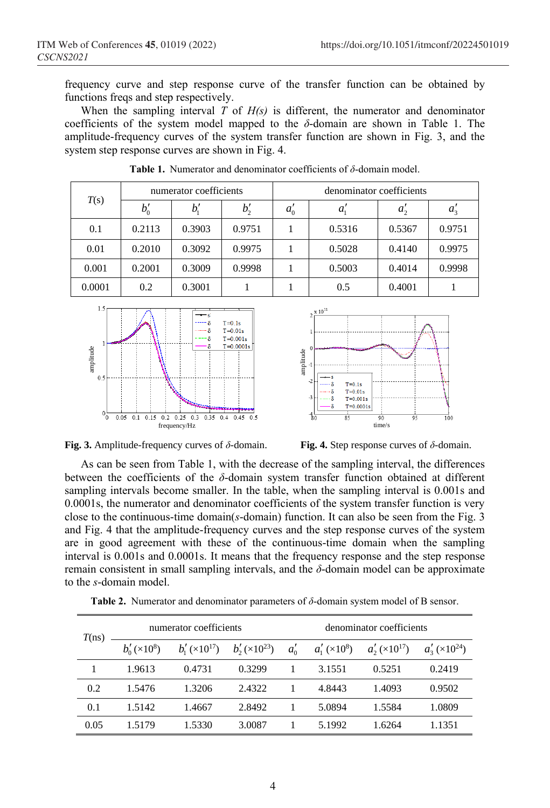frequency curve and step response curve of the transfer function can be obtained by functions freqs and step respectively.

When the sampling interval *T* of *H(s)* is different, the numerator and denominator coefficients of the system model mapped to the  $\delta$ -domain are shown in Table 1. The amplitude-frequency curves of the system transfer function are shown in Fig. 3, and the system step response curves are shown in Fig. 4.

| T(s)   | numerator coefficients |             |        | denominator coefficients |        |              |         |
|--------|------------------------|-------------|--------|--------------------------|--------|--------------|---------|
|        | $b'_0$                 | $b_{\cdot}$ | $b_2'$ | $a_0$                    | $a_i$  | $a_{\gamma}$ | $a_{3}$ |
| 0.1    | 0.2113                 | 0.3903      | 0.9751 |                          | 0.5316 | 0.5367       | 0.9751  |
| 0.01   | 0.2010                 | 0.3092      | 0.9975 |                          | 0.5028 | 0.4140       | 0.9975  |
| 0.001  | 0.2001                 | 0.3009      | 0.9998 |                          | 0.5003 | 0.4014       | 0.9998  |
| 0.0001 | 0.2                    | 0.3001      |        |                          | 0.5    | 0.4001       |         |

**Table 1.** Numerator and denominator coefficients of *δ*-domain model.





**Fig. 3.** Amplitude-frequency curves of *δ*-domain. **Fig. 4.** Step response curves of *δ*-domain.

As can be seen from Table 1, with the decrease of the sampling interval, the differences between the coefficients of the *δ*-domain system transfer function obtained at different sampling intervals become smaller. In the table, when the sampling interval is 0.001s and 0.0001s, the numerator and denominator coefficients of the system transfer function is very close to the continuous-time domain(*s*-domain) function. It can also be seen from the Fig. 3 and Fig. 4 that the amplitude-frequency curves and the step response curves of the system are in good agreement with these of the continuous-time domain when the sampling interval is 0.001s and 0.0001s. It means that the frequency response and the step response remain consistent in small sampling intervals, and the *δ*-domain model can be approximate to the *s*-domain model.

| T(ns) | numerator coefficients  |                       |                       | denominator coefficients |                    |                       |                                      |
|-------|-------------------------|-----------------------|-----------------------|--------------------------|--------------------|-----------------------|--------------------------------------|
|       | $b'_{0}(\times 10^{8})$ | $b'_1 \times 10^{17}$ | $b'_2 \times 10^{23}$ | $a'_0$                   | $a'_1 \times 10^8$ | $a'_2 \times 10^{17}$ | $a'_3 \left( \times 10^{24} \right)$ |
|       | 1.9613                  | 0.4731                | 0.3299                |                          | 3.1551             | 0.5251                | 0.2419                               |
| 0.2   | 1.5476                  | 1.3206                | 2.4322                |                          | 4.8443             | 1.4093                | 0.9502                               |
| 0.1   | 1.5142                  | 1.4667                | 2.8492                |                          | 5.0894             | 1.5584                | 1.0809                               |
| 0.05  | 1.5179                  | 1.5330                | 3.0087                |                          | 5.1992             | 1.6264                | 1.1351                               |

**Table 2.** Numerator and denominator parameters of *δ*-domain system model of B sensor.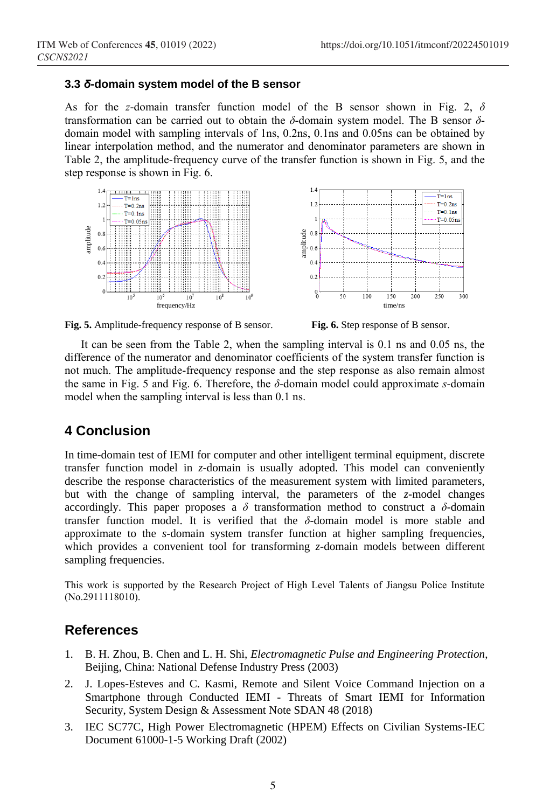#### **3.3** *δ***-domain system model of the B sensor**

As for the *z*-domain transfer function model of the B sensor shown in Fig. 2, *δ* transformation can be carried out to obtain the *δ*-domain system model. The B sensor *δ*domain model with sampling intervals of 1ns, 0.2ns, 0.1ns and 0.05ns can be obtained by linear interpolation method, and the numerator and denominator parameters are shown in Table 2, the amplitude-frequency curve of the transfer function is shown in Fig. 5, and the step response is shown in Fig. 6.





**Fig. 5.** Amplitude-frequency response of B sensor. **Fig. 6.** Step response of B sensor.

It can be seen from the Table 2, when the sampling interval is 0.1 ns and 0.05 ns, the difference of the numerator and denominator coefficients of the system transfer function is not much. The amplitude-frequency response and the step response as also remain almost the same in Fig. 5 and Fig. 6. Therefore, the *δ*-domain model could approximate *s*-domain model when the sampling interval is less than 0.1 ns.

# **4 Conclusion**

In time-domain test of IEMI for computer and other intelligent terminal equipment, discrete transfer function model in *z*-domain is usually adopted. This model can conveniently describe the response characteristics of the measurement system with limited parameters, but with the change of sampling interval, the parameters of the *z*-model changes accordingly. This paper proposes a  $\delta$  transformation method to construct a  $\delta$ -domain transfer function model. It is verified that the *δ*-domain model is more stable and approximate to the *s*-domain system transfer function at higher sampling frequencies, which provides a convenient tool for transforming *z*-domain models between different sampling frequencies.

This work is supported by the Research Project of High Level Talents of Jiangsu Police Institute (No.2911118010).

## **References**

- 1. B. H. Zhou, B. Chen and L. H. Shi, *Electromagnetic Pulse and Engineering Protection*, Beijing, China: National Defense Industry Press (2003)
- 2. J. Lopes-Esteves and C. Kasmi, Remote and Silent Voice Command Injection on a Smartphone through Conducted IEMI - Threats of Smart IEMI for Information Security, System Design & Assessment Note SDAN 48 (2018)
- 3. IEC SC77C, High Power Electromagnetic (HPEM) Effects on Civilian Systems-IEC Document 61000-1-5 Working Draft (2002)